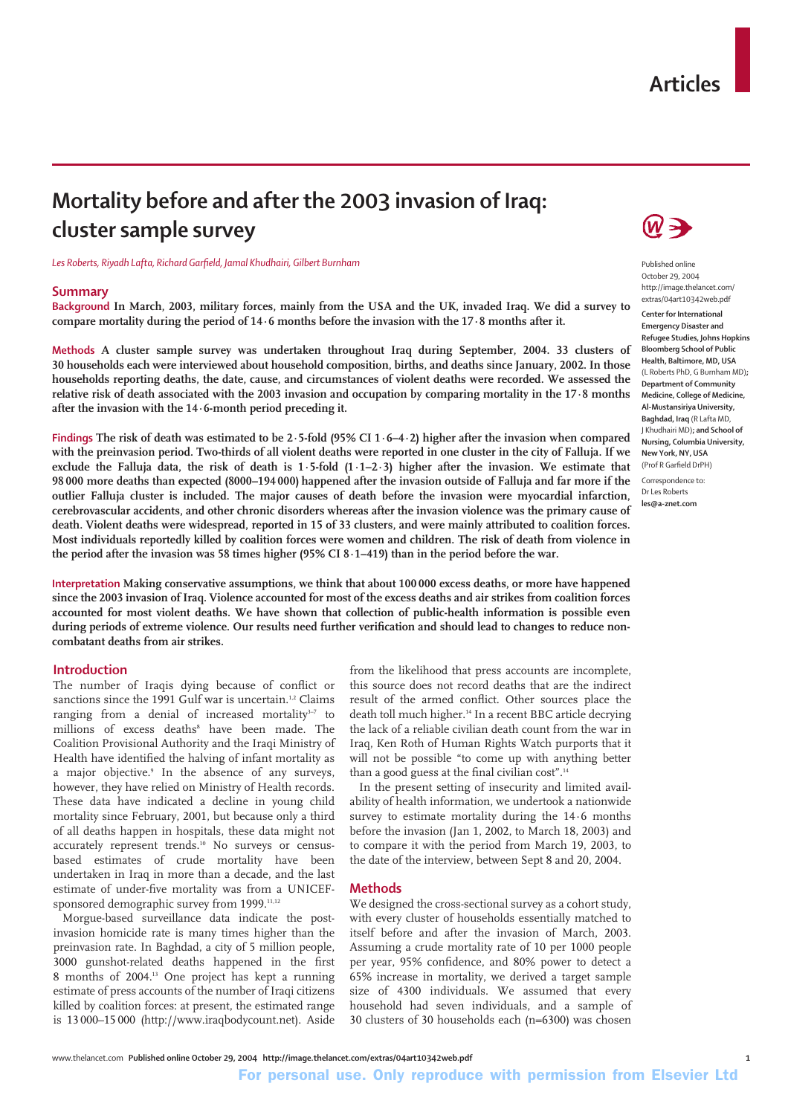# **Mortality before and after the 2003 invasion of Iraq: cluster sample survey**

*Les Roberts, Riyadh Lafta, Richard Garfield, Jamal Khudhairi, Gilbert Burnham*

## **Summary**

**Background In March, 2003, military forces, mainly from the USA and the UK, invaded Iraq. We did a survey to compare mortality during the period of 14·6 months before the invasion with the 17·8 months after it.**

**Methods A cluster sample survey was undertaken throughout Iraq during September, 2004. 33 clusters of 30 households each were interviewed about household composition, births, and deaths since January, 2002. In those households reporting deaths, the date, cause, and circumstances of violent deaths were recorded. We assessed the relative risk of death associated with the 2003 invasion and occupation by comparing mortality in the 17·8 months after the invasion with the 14·6-month period preceding it.** 

**Findings The risk of death was estimated to be 2·5-fold (95% CI 1·6–4·2) higher after the invasion when compared with the preinvasion period. Two-thirds of all violent deaths were reported in one cluster in the city of Falluja. If we exclude the Falluja data, the risk of death is 1·5-fold (1·1–2·3) higher after the invasion. We estimate that 98 000 more deaths than expected (8000–194 000) happened after the invasion outside of Falluja and far more if the outlier Falluja cluster is included. The major causes of death before the invasion were myocardial infarction, cerebrovascular accidents, and other chronic disorders whereas after the invasion violence was the primary cause of death. Violent deaths were widespread, reported in 15 of 33 clusters, and were mainly attributed to coalition forces. Most individuals reportedly killed by coalition forces were women and children. The risk of death from violence in the period after the invasion was 58 times higher (95% CI 8·1–419) than in the period before the war.**

**Interpretation Making conservative assumptions, we think that about 100 000 excess deaths, or more have happened since the 2003 invasion of Iraq. Violence accounted for most of the excess deaths and air strikes from coalition forces accounted for most violent deaths. We have shown that collection of public-health information is possible even during periods of extreme violence. Our results need further verification and should lead to changes to reduce noncombatant deaths from air strikes.**

## **Introduction**

The number of Iraqis dying because of conflict or sanctions since the 1991 Gulf war is uncertain.<sup>1,2</sup> Claims ranging from a denial of increased mortality<sup>3-7</sup> to millions of excess deaths<sup>8</sup> have been made. The Coalition Provisional Authority and the Iraqi Ministry of Health have identified the halving of infant mortality as a major objective.<sup>9</sup> In the absence of any surveys, however, they have relied on Ministry of Health records. These data have indicated a decline in young child mortality since February, 2001, but because only a third of all deaths happen in hospitals, these data might not accurately represent trends.10 No surveys or censusbased estimates of crude mortality have been undertaken in Iraq in more than a decade, and the last estimate of under-five mortality was from a UNICEFsponsored demographic survey from 1999.<sup>11,12</sup>

Morgue-based surveillance data indicate the postinvasion homicide rate is many times higher than the preinvasion rate. In Baghdad, a city of 5 million people, 3000 gunshot-related deaths happened in the first 8 months of 2004.13 One project has kept a running estimate of press accounts of the number of Iraqi citizens killed by coalition forces: at present, the estimated range is 13000–15 000 (http://www.iraqbodycount.net). Aside from the likelihood that press accounts are incomplete, this source does not record deaths that are the indirect result of the armed conflict. Other sources place the death toll much higher.14 In a recent BBC article decrying the lack of a reliable civilian death count from the war in Iraq, Ken Roth of Human Rights Watch purports that it will not be possible "to come up with anything better than a good guess at the final civilian cost".<sup>14</sup>

In the present setting of insecurity and limited availability of health information, we undertook a nationwide survey to estimate mortality during the 14·6 months before the invasion (Jan 1, 2002, to March 18, 2003) and to compare it with the period from March 19, 2003, to the date of the interview, between Sept 8 and 20, 2004.

#### **Methods**

We designed the cross-sectional survey as a cohort study, with every cluster of households essentially matched to itself before and after the invasion of March, 2003. Assuming a crude mortality rate of 10 per 1000 people per year, 95% confidence, and 80% power to detect a 65% increase in mortality, we derived a target sample size of 4300 individuals. We assumed that every household had seven individuals, and a sample of 30 clusters of 30 households each (n=6300) was chosen



Published online October 29, 2004 http://image.thelancet.com/ extras/04art10342web.pdf

**Center for International Emergency Disaster and Refugee Studies, Johns Hopkins Bloomberg School of Public Health, Baltimore, MD, USA** (L Roberts PhD, G Burnham MD)**; Department of Community Medicine, College of Medicine, Al-Mustansiriya University, Baghdad, Iraq** (R Lafta MD, J Khudhairi MD)**; and School of Nursing, Columbia University, New York, NY, USA** (Prof R Garfield DrPH)

Correspondence to: Dr Les Roberts **les@a-znet.com**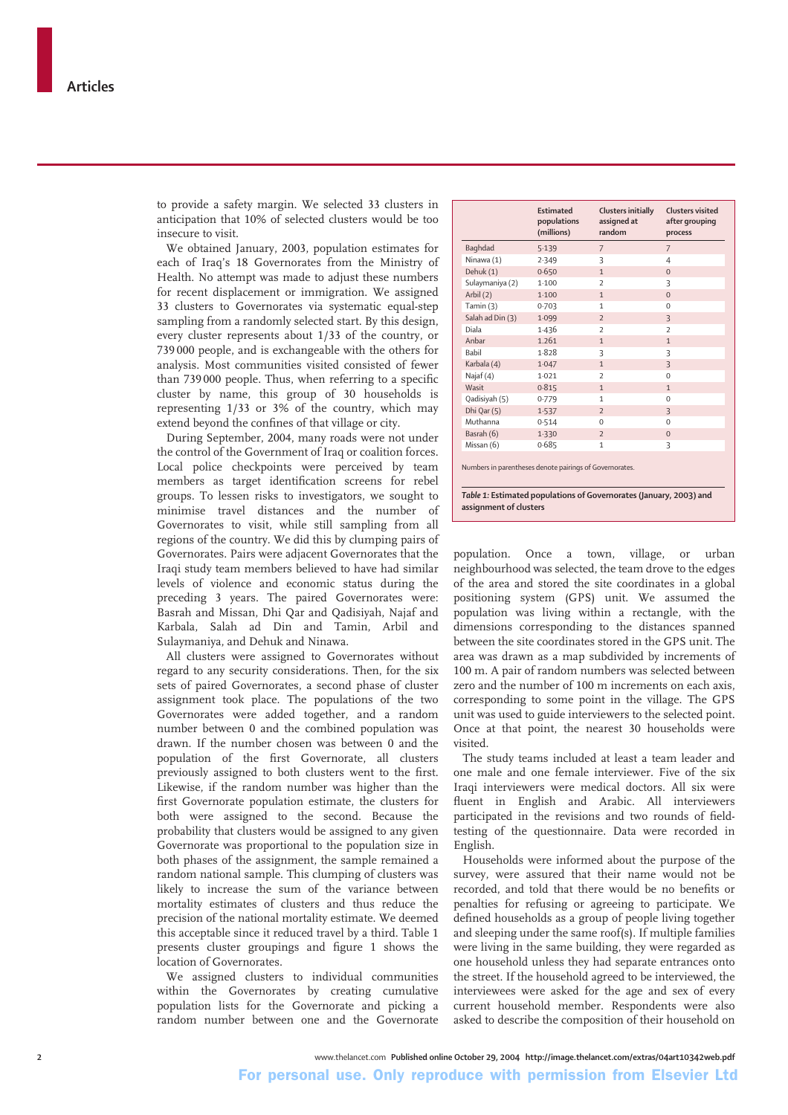to provide a safety margin. We selected 33 clusters in anticipation that 10% of selected clusters would be too insecure to visit.

We obtained January, 2003, population estimates for each of Iraq's 18 Governorates from the Ministry of Health. No attempt was made to adjust these numbers for recent displacement or immigration. We assigned 33 clusters to Governorates via systematic equal-step sampling from a randomly selected start. By this design, every cluster represents about 1/33 of the country, or 739 000 people, and is exchangeable with the others for analysis. Most communities visited consisted of fewer than 739 000 people. Thus, when referring to a specific cluster by name, this group of 30 households is representing 1/33 or 3% of the country, which may extend beyond the confines of that village or city.

During September, 2004, many roads were not under the control of the Government of Iraq or coalition forces. Local police checkpoints were perceived by team members as target identification screens for rebel groups. To lessen risks to investigators, we sought to minimise travel distances and the number of Governorates to visit, while still sampling from all regions of the country. We did this by clumping pairs of Governorates. Pairs were adjacent Governorates that the Iraqi study team members believed to have had similar levels of violence and economic status during the preceding 3 years. The paired Governorates were: Basrah and Missan, Dhi Qar and Qadisiyah, Najaf and Karbala, Salah ad Din and Tamin, Arbil and Sulaymaniya, and Dehuk and Ninawa.

All clusters were assigned to Governorates without regard to any security considerations. Then, for the six sets of paired Governorates, a second phase of cluster assignment took place. The populations of the two Governorates were added together, and a random number between 0 and the combined population was drawn. If the number chosen was between 0 and the population of the first Governorate, all clusters previously assigned to both clusters went to the first. Likewise, if the random number was higher than the first Governorate population estimate, the clusters for both were assigned to the second. Because the probability that clusters would be assigned to any given Governorate was proportional to the population size in both phases of the assignment, the sample remained a random national sample. This clumping of clusters was likely to increase the sum of the variance between mortality estimates of clusters and thus reduce the precision of the national mortality estimate. We deemed this acceptable since it reduced travel by a third. Table 1 presents cluster groupings and figure 1 shows the location of Governorates.

We assigned clusters to individual communities within the Governorates by creating cumulative population lists for the Governorate and picking a random number between one and the Governorate

|                  | <b>Estimated</b><br>populations<br>(millions) | Clusters initially<br>assigned at<br>random | <b>Clusters visited</b><br>after grouping<br>process |
|------------------|-----------------------------------------------|---------------------------------------------|------------------------------------------------------|
| Baghdad          | 5.139                                         | $\overline{7}$                              | $\overline{7}$                                       |
| Ninawa (1)       | 2.349                                         | 3                                           | 4                                                    |
| Dehuk (1)        | 0.650                                         | $\mathbf{1}$                                | $\Omega$                                             |
| Sulaymaniya (2)  | 1.100                                         | $\mathcal{P}$                               | 3                                                    |
| Arbil (2)        | 1.100                                         | $\mathbf{1}$                                | $\Omega$                                             |
| Tamin (3)        | 0.703                                         | 1                                           | $\Omega$                                             |
| Salah ad Din (3) | 1.099                                         | $\overline{\phantom{a}}$                    | 3                                                    |
| Diala            | 1.436                                         | $\mathcal{P}$                               | $\overline{\phantom{a}}$                             |
| Anbar            | 1.261                                         | $\mathbf{1}$                                | $\mathbf{1}$                                         |
| <b>Babil</b>     | 1.828                                         | ζ                                           | 3                                                    |
| Karbala (4)      | 1.047                                         | $\mathbf{1}$                                | 3                                                    |
| Najaf (4)        | 1.021                                         | $\mathcal{P}$                               | $\Omega$                                             |
| Wasit            | 0.815                                         | $\mathbf{1}$                                | $\mathbf{1}$                                         |
| Qadisiyah (5)    | 0.779                                         | 1                                           | $\Omega$                                             |
| Dhi Qar (5)      | 1.537                                         | $\mathcal{P}$                               | 3                                                    |
| Muthanna         | 0.514                                         | $\Omega$                                    | $\Omega$                                             |
| Basrah (6)       | 1.330                                         | $\overline{2}$                              | $\Omega$                                             |
| Missan (6)       | 0.685                                         | 1                                           | 3                                                    |

Numbers in parentheses denote pairings of Governorates.

*Table 1:* **Estimated populations of Governorates (January, 2003) and assignment of clusters**

population. Once a town, village, or urban neighbourhood was selected, the team drove to the edges of the area and stored the site coordinates in a global positioning system (GPS) unit. We assumed the population was living within a rectangle, with the dimensions corresponding to the distances spanned between the site coordinates stored in the GPS unit. The area was drawn as a map subdivided by increments of 100 m. A pair of random numbers was selected between zero and the number of 100 m increments on each axis, corresponding to some point in the village. The GPS unit was used to guide interviewers to the selected point. Once at that point, the nearest 30 households were visited.

The study teams included at least a team leader and one male and one female interviewer. Five of the six Iraqi interviewers were medical doctors. All six were fluent in English and Arabic. All interviewers participated in the revisions and two rounds of fieldtesting of the questionnaire. Data were recorded in English.

Households were informed about the purpose of the survey, were assured that their name would not be recorded, and told that there would be no benefits or penalties for refusing or agreeing to participate. We defined households as a group of people living together and sleeping under the same roof(s). If multiple families were living in the same building, they were regarded as one household unless they had separate entrances onto the street. If the household agreed to be interviewed, the interviewees were asked for the age and sex of every current household member. Respondents were also asked to describe the composition of their household on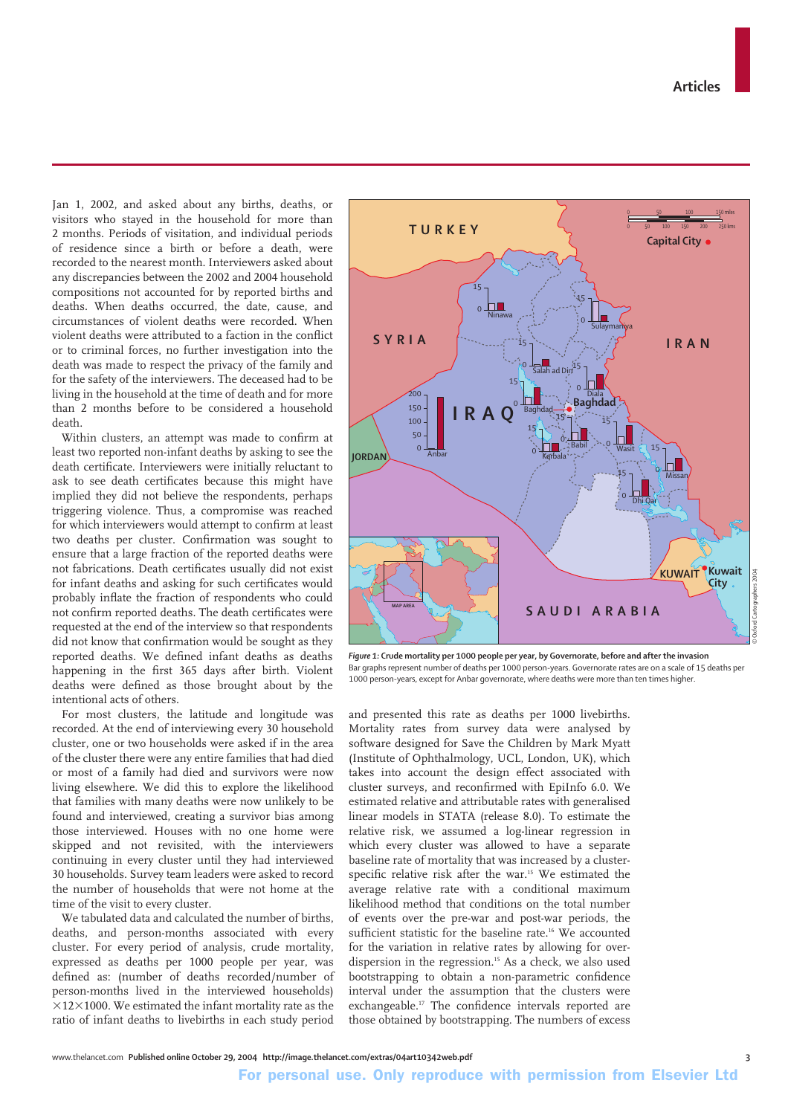Jan 1, 2002, and asked about any births, deaths, or visitors who stayed in the household for more than 2 months. Periods of visitation, and individual periods of residence since a birth or before a death, were recorded to the nearest month. Interviewers asked about any discrepancies between the 2002 and 2004 household compositions not accounted for by reported births and deaths. When deaths occurred, the date, cause, and circumstances of violent deaths were recorded. When violent deaths were attributed to a faction in the conflict or to criminal forces, no further investigation into the death was made to respect the privacy of the family and for the safety of the interviewers. The deceased had to be living in the household at the time of death and for more than 2 months before to be considered a household death.

Within clusters, an attempt was made to confirm at least two reported non-infant deaths by asking to see the death certificate. Interviewers were initially reluctant to ask to see death certificates because this might have implied they did not believe the respondents, perhaps triggering violence. Thus, a compromise was reached for which interviewers would attempt to confirm at least two deaths per cluster. Confirmation was sought to ensure that a large fraction of the reported deaths were not fabrications. Death certificates usually did not exist for infant deaths and asking for such certificates would probably inflate the fraction of respondents who could not confirm reported deaths. The death certificates were requested at the end of the interview so that respondents did not know that confirmation would be sought as they reported deaths. We defined infant deaths as deaths happening in the first 365 days after birth. Violent deaths were defined as those brought about by the intentional acts of others.

For most clusters, the latitude and longitude was recorded. At the end of interviewing every 30 household cluster, one or two households were asked if in the area of the cluster there were any entire families that had died or most of a family had died and survivors were now living elsewhere. We did this to explore the likelihood that families with many deaths were now unlikely to be found and interviewed, creating a survivor bias among those interviewed. Houses with no one home were skipped and not revisited, with the interviewers continuing in every cluster until they had interviewed 30 households. Survey team leaders were asked to record the number of households that were not home at the time of the visit to every cluster.

We tabulated data and calculated the number of births, deaths, and person-months associated with every cluster. For every period of analysis, crude mortality, expressed as deaths per 1000 people per year, was defined as: (number of deaths recorded/number of person-months lived in the interviewed households)  $\times$ 12 $\times$ 1000. We estimated the infant mortality rate as the ratio of infant deaths to livebirths in each study period



*Figure 1:* **Crude mortality per 1000 people per year, by Governorate, before and after the invasion** Bar graphs represent number of deaths per 1000 person-years. Governorate rates are on a scale of 15 deaths per 1000 person-years, except for Anbar governorate, where deaths were more than ten times higher.

and presented this rate as deaths per 1000 livebirths. Mortality rates from survey data were analysed by software designed for Save the Children by Mark Myatt (Institute of Ophthalmology, UCL, London, UK), which takes into account the design effect associated with cluster surveys, and reconfirmed with EpiInfo 6.0. We estimated relative and attributable rates with generalised linear models in STATA (release 8.0). To estimate the relative risk, we assumed a log-linear regression in which every cluster was allowed to have a separate baseline rate of mortality that was increased by a clusterspecific relative risk after the war.<sup>15</sup> We estimated the average relative rate with a conditional maximum likelihood method that conditions on the total number of events over the pre-war and post-war periods, the sufficient statistic for the baseline rate.<sup>16</sup> We accounted for the variation in relative rates by allowing for overdispersion in the regression.<sup>15</sup> As a check, we also used bootstrapping to obtain a non-parametric confidence interval under the assumption that the clusters were exchangeable.17 The confidence intervals reported are those obtained by bootstrapping. The numbers of excess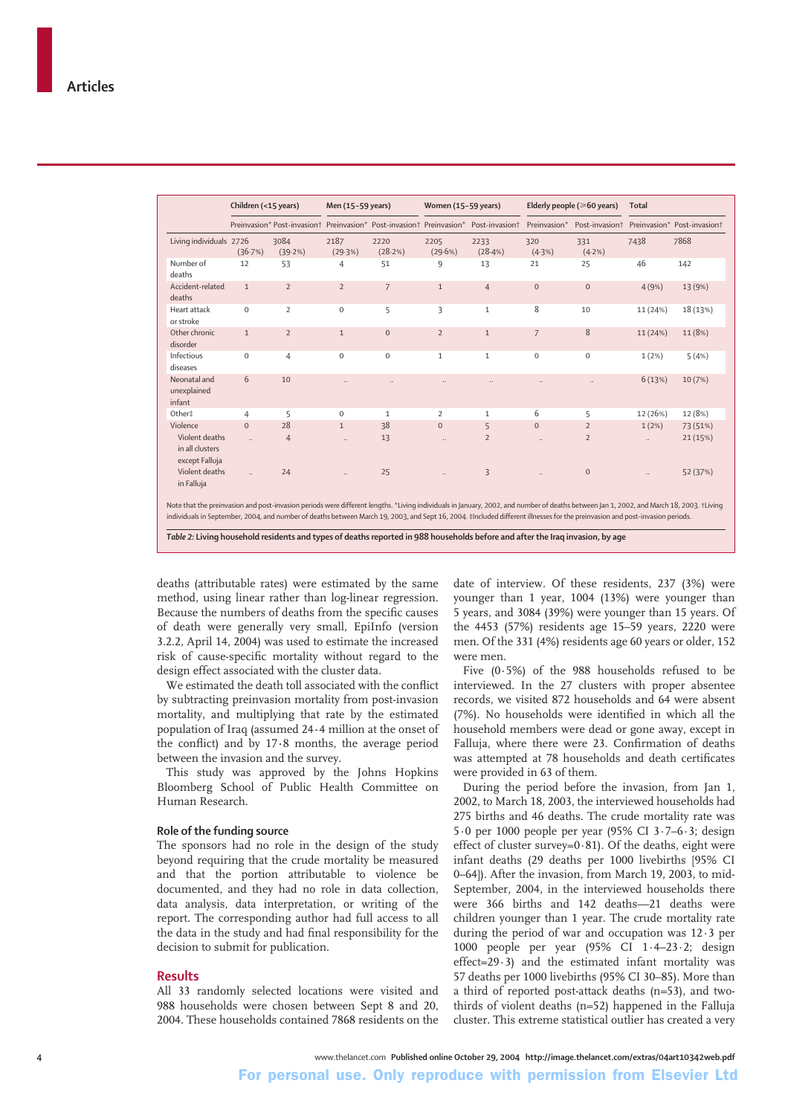|                                                     | Children (<15 years) |                 | Men (15-59 years)    |                  | Women (15-59 years) |                                                                                     | Elderly people ( $\geq 60$ years) |                                                         | Total                |          |
|-----------------------------------------------------|----------------------|-----------------|----------------------|------------------|---------------------|-------------------------------------------------------------------------------------|-----------------------------------|---------------------------------------------------------|----------------------|----------|
|                                                     |                      |                 |                      |                  |                     | Preinvasion* Post-invasion+ Preinvasion* Post-invasion+ Preinvasion* Post-invasion+ |                                   | Preinvasion* Post-invasion+ Preinvasion* Post-invasion+ |                      |          |
| Living individuals 2726                             | (36.7%)              | 3084<br>(39.2%) | 2187<br>(29.3%)      | 2220<br>(28.2%)  | 2205<br>(29.6%)     | 2233<br>(28.4%)                                                                     | 320<br>(4.3%)                     | 331<br>$(4.2\%)$                                        | 7438                 | 7868     |
| Number of                                           | 12                   | 53              | $\overline{4}$       | 51               | 9                   | 13                                                                                  | 21                                | 25                                                      | 46                   | 142      |
| deaths<br>Accident-related<br>deaths                | $\mathbf{1}$         | $\overline{2}$  | $\overline{2}$       | $\overline{7}$   | $\mathbf{1}$        | $\overline{4}$                                                                      | $\boldsymbol{0}$                  | $\mathbf{0}$                                            | 4(9%)                | 13 (9%)  |
| Heart attack<br>or stroke                           | $\mathbf 0$          | $\overline{2}$  | $\mathbf 0$          | 5                | 3                   | $\mathbf{1}$                                                                        | 8                                 | 10                                                      | 11 (24%)             | 18 (13%) |
| Other chronic<br>disorder                           | $\mathbf{1}$         | $\overline{2}$  | $\mathbf{1}$         | $\boldsymbol{0}$ | $\overline{2}$      | $1\,$                                                                               | $\overline{7}$                    | 8                                                       | 11 (24%)             | 11 (8%)  |
| Infectious<br>diseases                              | $\mathbf 0$          | $\overline{4}$  | $\mathbf 0$          | $\mathbf 0$      | $\mathbf{1}$        | $\mathbf{1}$                                                                        | $\mathbf 0$                       | $\mathbf 0$                                             | 1(2%)                | 5(4%)    |
| Neonatal and<br>unexplained<br>infant               | 6                    | 10              | $\ddot{\phantom{a}}$ |                  |                     |                                                                                     | $\ddot{\phantom{a}}$              | $\ddot{\phantom{a}}$                                    | 6(13%)               | 10(7%)   |
| Other‡                                              | $\overline{4}$       | 5               | $\mathbf 0$          | $\mathbf{1}$     | $\overline{2}$      | $\mathbf{1}$                                                                        | 6                                 | 5                                                       | 12 (26%)             | 12 (8%)  |
| Violence                                            | $\mathbf{0}$         | 28              | $\mathbf{1}$         | 38               | $\mathbf{0}$        | 5                                                                                   | $\mathbf{0}$                      | $\overline{2}$                                          | 1(2%)                | 73 (51%) |
| Violent deaths<br>in all clusters<br>except Falluja | $\ddot{\phantom{a}}$ | $\overline{4}$  | $\ddot{\phantom{a}}$ | 13               | $\ddotsc$           | $\overline{2}$                                                                      | $\ddotsc$                         | $\overline{2}$                                          | $\ddot{\phantom{a}}$ | 21 (15%) |
| Violent deaths<br>in Falluja                        | $\ddotsc$            | 24              |                      | 25               |                     | 3                                                                                   | $\ddotsc$                         | $\bf 0$                                                 |                      | 52 (37%) |

deaths (attributable rates) were estimated by the same method, using linear rather than log-linear regression. Because the numbers of deaths from the specific causes of death were generally very small, EpiInfo (version 3.2.2, April 14, 2004) was used to estimate the increased risk of cause-specific mortality without regard to the design effect associated with the cluster data.

We estimated the death toll associated with the conflict by subtracting preinvasion mortality from post-invasion mortality, and multiplying that rate by the estimated population of Iraq (assumed 24**·**4 million at the onset of the conflict) and by 17**·**8 months, the average period between the invasion and the survey.

This study was approved by the Johns Hopkins Bloomberg School of Public Health Committee on Human Research.

# **Role of the funding source**

The sponsors had no role in the design of the study beyond requiring that the crude mortality be measured and that the portion attributable to violence be documented, and they had no role in data collection, data analysis, data interpretation, or writing of the report. The corresponding author had full access to all the data in the study and had final responsibility for the decision to submit for publication.

#### **Results**

All 33 randomly selected locations were visited and 988 households were chosen between Sept 8 and 20, 2004. These households contained 7868 residents on the date of interview. Of these residents, 237 (3%) were younger than 1 year, 1004 (13%) were younger than 5 years, and 3084 (39%) were younger than 15 years. Of the 4453 (57%) residents age 15–59 years, 2220 were men. Of the 331 (4%) residents age 60 years or older, 152 were men.

Five (0·5%) of the 988 households refused to be interviewed. In the 27 clusters with proper absentee records, we visited 872 households and 64 were absent (7%). No households were identified in which all the household members were dead or gone away, except in Falluja, where there were 23. Confirmation of deaths was attempted at 78 households and death certificates were provided in 63 of them.

During the period before the invasion, from Jan 1, 2002, to March 18, 2003, the interviewed households had 275 births and 46 deaths. The crude mortality rate was 5·0 per 1000 people per year (95% CI 3·7–6·3; design effect of cluster survey=0·81). Of the deaths, eight were infant deaths (29 deaths per 1000 livebirths [95% CI 0–64]). After the invasion, from March 19, 2003, to mid-September, 2004, in the interviewed households there were 366 births and 142 deaths—21 deaths were children younger than 1 year. The crude mortality rate during the period of war and occupation was 12·3 per 1000 people per year (95% CI 1·4–23·2; design effect=29 $\cdot$ 3) and the estimated infant mortality was 57 deaths per 1000 livebirths (95% CI 30–85). More than a third of reported post-attack deaths (n=53), and twothirds of violent deaths (n=52) happened in the Falluja cluster. This extreme statistical outlier has created a very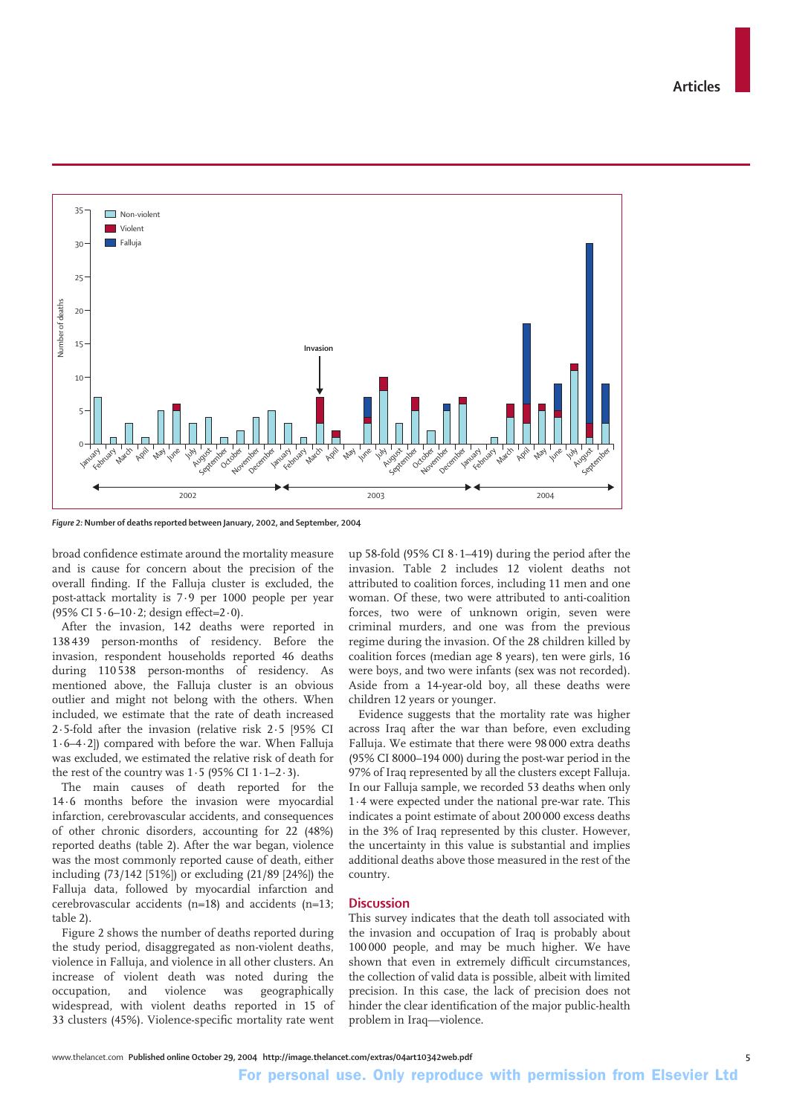**Articles**



*Figure 2:* **Number of deaths reported between January, 2002, and September, 2004**

broad confidence estimate around the mortality measure and is cause for concern about the precision of the overall finding. If the Falluja cluster is excluded, the post-attack mortality is 7·9 per 1000 people per year (95% CI 5·6–10·2; design effect=2·0).

After the invasion, 142 deaths were reported in 138 439 person-months of residency. Before the invasion, respondent households reported 46 deaths during 110 538 person-months of residency. As mentioned above, the Falluja cluster is an obvious outlier and might not belong with the others. When included, we estimate that the rate of death increased 2·5-fold after the invasion (relative risk 2·5 [95% CI 1·6–4·2]) compared with before the war. When Falluja was excluded, we estimated the relative risk of death for the rest of the country was  $1.5$  (95% CI  $1.1-2.3$ ).

The main causes of death reported for the 14·6 months before the invasion were myocardial infarction, cerebrovascular accidents, and consequences of other chronic disorders, accounting for 22 (48%) reported deaths (table 2). After the war began, violence was the most commonly reported cause of death, either including (73/142 [51%]) or excluding (21/89 [24%]) the Falluja data, followed by myocardial infarction and cerebrovascular accidents (n=18) and accidents (n=13; table 2).

Figure 2 shows the number of deaths reported during the study period, disaggregated as non-violent deaths, violence in Falluja, and violence in all other clusters. An increase of violent death was noted during the occupation, and violence was geographically widespread, with violent deaths reported in 15 of 33 clusters (45%). Violence-specific mortality rate went up 58-fold (95% CI  $8 \cdot 1 - 419$ ) during the period after the invasion. Table 2 includes 12 violent deaths not attributed to coalition forces, including 11 men and one woman. Of these, two were attributed to anti-coalition forces, two were of unknown origin, seven were criminal murders, and one was from the previous regime during the invasion. Of the 28 children killed by coalition forces (median age 8 years), ten were girls, 16 were boys, and two were infants (sex was not recorded). Aside from a 14-year-old boy, all these deaths were children 12 years or younger.

Evidence suggests that the mortality rate was higher across Iraq after the war than before, even excluding Falluja. We estimate that there were 98 000 extra deaths (95% CI 8000–194 000) during the post-war period in the 97% of Iraq represented by all the clusters except Falluja. In our Falluja sample, we recorded 53 deaths when only 1·4 were expected under the national pre-war rate. This indicates a point estimate of about 200 000 excess deaths in the 3% of Iraq represented by this cluster. However, the uncertainty in this value is substantial and implies additional deaths above those measured in the rest of the country.

# **Discussion**

This survey indicates that the death toll associated with the invasion and occupation of Iraq is probably about 100 000 people, and may be much higher. We have shown that even in extremely difficult circumstances, the collection of valid data is possible, albeit with limited precision. In this case, the lack of precision does not hinder the clear identification of the major public-health problem in Iraq—violence.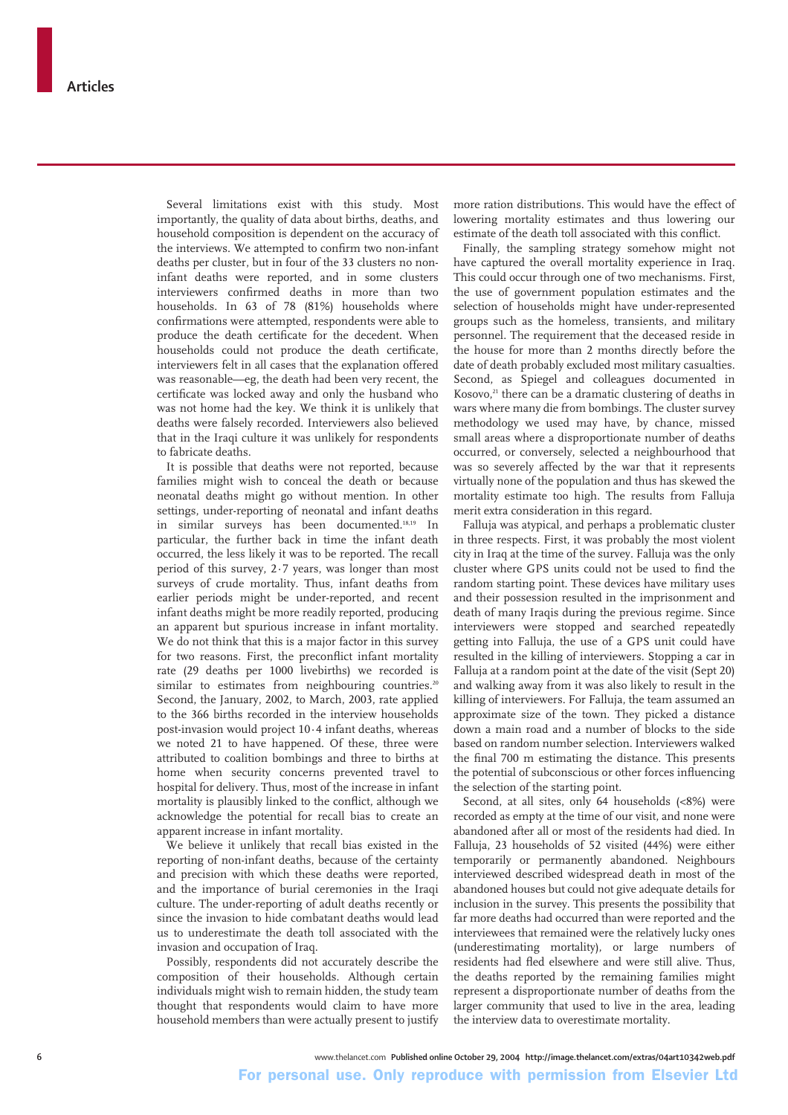Several limitations exist with this study. Most importantly, the quality of data about births, deaths, and household composition is dependent on the accuracy of the interviews. We attempted to confirm two non-infant deaths per cluster, but in four of the 33 clusters no noninfant deaths were reported, and in some clusters interviewers confirmed deaths in more than two households. In 63 of 78 (81%) households where confirmations were attempted, respondents were able to produce the death certificate for the decedent. When households could not produce the death certificate, interviewers felt in all cases that the explanation offered was reasonable—eg, the death had been very recent, the certificate was locked away and only the husband who was not home had the key. We think it is unlikely that deaths were falsely recorded. Interviewers also believed that in the Iraqi culture it was unlikely for respondents to fabricate deaths.

It is possible that deaths were not reported, because families might wish to conceal the death or because neonatal deaths might go without mention. In other settings, under-reporting of neonatal and infant deaths in similar surveys has been documented.18,19 In particular, the further back in time the infant death occurred, the less likely it was to be reported. The recall period of this survey, 2·7 years, was longer than most surveys of crude mortality. Thus, infant deaths from earlier periods might be under-reported, and recent infant deaths might be more readily reported, producing an apparent but spurious increase in infant mortality. We do not think that this is a major factor in this survey for two reasons. First, the preconflict infant mortality rate (29 deaths per 1000 livebirths) we recorded is similar to estimates from neighbouring countries.<sup>20</sup> Second, the January, 2002, to March, 2003, rate applied to the 366 births recorded in the interview households post-invasion would project 10·4 infant deaths, whereas we noted 21 to have happened. Of these, three were attributed to coalition bombings and three to births at home when security concerns prevented travel to hospital for delivery. Thus, most of the increase in infant mortality is plausibly linked to the conflict, although we acknowledge the potential for recall bias to create an apparent increase in infant mortality.

We believe it unlikely that recall bias existed in the reporting of non-infant deaths, because of the certainty and precision with which these deaths were reported, and the importance of burial ceremonies in the Iraqi culture. The under-reporting of adult deaths recently or since the invasion to hide combatant deaths would lead us to underestimate the death toll associated with the invasion and occupation of Iraq.

Possibly, respondents did not accurately describe the composition of their households. Although certain individuals might wish to remain hidden, the study team thought that respondents would claim to have more household members than were actually present to justify more ration distributions. This would have the effect of lowering mortality estimates and thus lowering our estimate of the death toll associated with this conflict.

Finally, the sampling strategy somehow might not have captured the overall mortality experience in Iraq. This could occur through one of two mechanisms. First, the use of government population estimates and the selection of households might have under-represented groups such as the homeless, transients, and military personnel. The requirement that the deceased reside in the house for more than 2 months directly before the date of death probably excluded most military casualties. Second, as Spiegel and colleagues documented in Kosovo, $21$  there can be a dramatic clustering of deaths in wars where many die from bombings. The cluster survey methodology we used may have, by chance, missed small areas where a disproportionate number of deaths occurred, or conversely, selected a neighbourhood that was so severely affected by the war that it represents virtually none of the population and thus has skewed the mortality estimate too high. The results from Falluja merit extra consideration in this regard.

Falluja was atypical, and perhaps a problematic cluster in three respects. First, it was probably the most violent city in Iraq at the time of the survey. Falluja was the only cluster where GPS units could not be used to find the random starting point. These devices have military uses and their possession resulted in the imprisonment and death of many Iraqis during the previous regime. Since interviewers were stopped and searched repeatedly getting into Falluja, the use of a GPS unit could have resulted in the killing of interviewers. Stopping a car in Falluja at a random point at the date of the visit (Sept 20) and walking away from it was also likely to result in the killing of interviewers. For Falluja, the team assumed an approximate size of the town. They picked a distance down a main road and a number of blocks to the side based on random number selection. Interviewers walked the final 700 m estimating the distance. This presents the potential of subconscious or other forces influencing the selection of the starting point.

Second, at all sites, only 64 households (<8%) were recorded as empty at the time of our visit, and none were abandoned after all or most of the residents had died. In Falluja, 23 households of 52 visited (44%) were either temporarily or permanently abandoned. Neighbours interviewed described widespread death in most of the abandoned houses but could not give adequate details for inclusion in the survey. This presents the possibility that far more deaths had occurred than were reported and the interviewees that remained were the relatively lucky ones (underestimating mortality), or large numbers of residents had fled elsewhere and were still alive. Thus, the deaths reported by the remaining families might represent a disproportionate number of deaths from the larger community that used to live in the area, leading the interview data to overestimate mortality.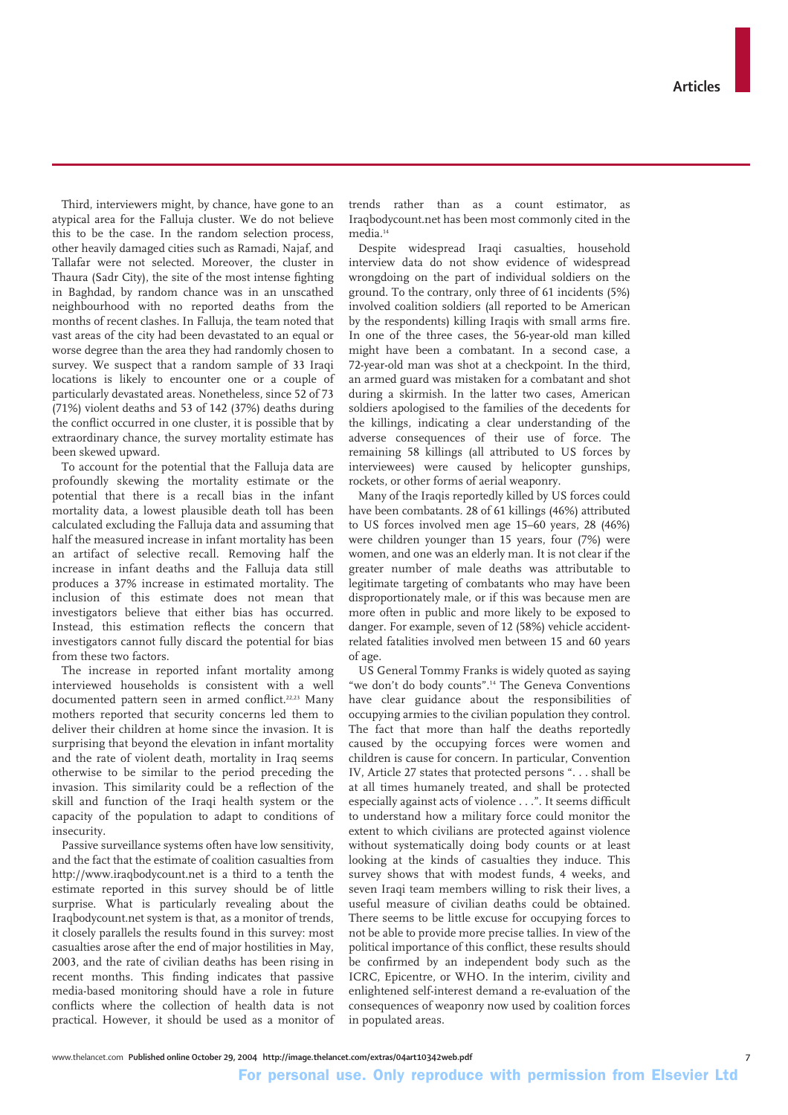Third, interviewers might, by chance, have gone to an atypical area for the Falluja cluster. We do not believe this to be the case. In the random selection process, other heavily damaged cities such as Ramadi, Najaf, and Tallafar were not selected. Moreover, the cluster in Thaura (Sadr City), the site of the most intense fighting in Baghdad, by random chance was in an unscathed neighbourhood with no reported deaths from the months of recent clashes. In Falluja, the team noted that vast areas of the city had been devastated to an equal or worse degree than the area they had randomly chosen to survey. We suspect that a random sample of 33 Iraqi locations is likely to encounter one or a couple of particularly devastated areas. Nonetheless, since 52 of 73 (71%) violent deaths and 53 of 142 (37%) deaths during the conflict occurred in one cluster, it is possible that by extraordinary chance, the survey mortality estimate has been skewed upward.

To account for the potential that the Falluja data are profoundly skewing the mortality estimate or the potential that there is a recall bias in the infant mortality data, a lowest plausible death toll has been calculated excluding the Falluja data and assuming that half the measured increase in infant mortality has been an artifact of selective recall. Removing half the increase in infant deaths and the Falluja data still produces a 37% increase in estimated mortality. The inclusion of this estimate does not mean that investigators believe that either bias has occurred. Instead, this estimation reflects the concern that investigators cannot fully discard the potential for bias from these two factors.

The increase in reported infant mortality among interviewed households is consistent with a well documented pattern seen in armed conflict.<sup>22,23</sup> Many mothers reported that security concerns led them to deliver their children at home since the invasion. It is surprising that beyond the elevation in infant mortality and the rate of violent death, mortality in Iraq seems otherwise to be similar to the period preceding the invasion. This similarity could be a reflection of the skill and function of the Iraqi health system or the capacity of the population to adapt to conditions of insecurity.

Passive surveillance systems often have low sensitivity, and the fact that the estimate of coalition casualties from http://www.iraqbodycount.net is a third to a tenth the estimate reported in this survey should be of little surprise. What is particularly revealing about the Iraqbodycount.net system is that, as a monitor of trends, it closely parallels the results found in this survey: most casualties arose after the end of major hostilities in May, 2003, and the rate of civilian deaths has been rising in recent months. This finding indicates that passive media-based monitoring should have a role in future conflicts where the collection of health data is not practical. However, it should be used as a monitor of trends rather than as a count estimator, as Iraqbodycount.net has been most commonly cited in the media.14

Despite widespread Iraqi casualties, household interview data do not show evidence of widespread wrongdoing on the part of individual soldiers on the ground. To the contrary, only three of 61 incidents (5%) involved coalition soldiers (all reported to be American by the respondents) killing Iraqis with small arms fire. In one of the three cases, the 56-year-old man killed might have been a combatant. In a second case, a 72-year-old man was shot at a checkpoint. In the third, an armed guard was mistaken for a combatant and shot during a skirmish. In the latter two cases, American soldiers apologised to the families of the decedents for the killings, indicating a clear understanding of the adverse consequences of their use of force. The remaining 58 killings (all attributed to US forces by interviewees) were caused by helicopter gunships, rockets, or other forms of aerial weaponry.

Many of the Iraqis reportedly killed by US forces could have been combatants. 28 of 61 killings (46%) attributed to US forces involved men age 15–60 years, 28 (46%) were children younger than 15 years, four (7%) were women, and one was an elderly man. It is not clear if the greater number of male deaths was attributable to legitimate targeting of combatants who may have been disproportionately male, or if this was because men are more often in public and more likely to be exposed to danger. For example, seven of 12 (58%) vehicle accidentrelated fatalities involved men between 15 and 60 years of age.

US General Tommy Franks is widely quoted as saying "we don't do body counts".14 The Geneva Conventions have clear guidance about the responsibilities of occupying armies to the civilian population they control. The fact that more than half the deaths reportedly caused by the occupying forces were women and children is cause for concern. In particular, Convention IV, Article 27 states that protected persons ". . . shall be at all times humanely treated, and shall be protected especially against acts of violence . . .". It seems difficult to understand how a military force could monitor the extent to which civilians are protected against violence without systematically doing body counts or at least looking at the kinds of casualties they induce. This survey shows that with modest funds, 4 weeks, and seven Iraqi team members willing to risk their lives, a useful measure of civilian deaths could be obtained. There seems to be little excuse for occupying forces to not be able to provide more precise tallies. In view of the political importance of this conflict, these results should be confirmed by an independent body such as the ICRC, Epicentre, or WHO. In the interim, civility and enlightened self-interest demand a re-evaluation of the consequences of weaponry now used by coalition forces in populated areas.